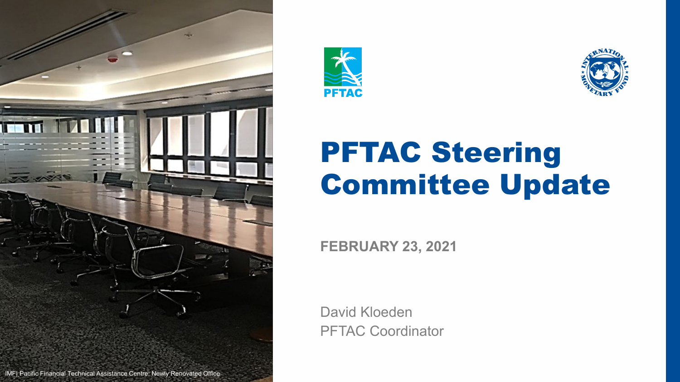





## PFTAC Steering Committee Update

**FEBRUARY 23, 2021**

David Kloeden PFTAC Coordinator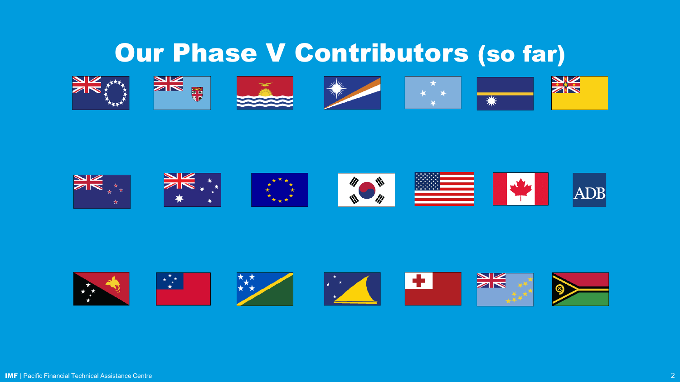## Our Phase V Contributors (so far)

























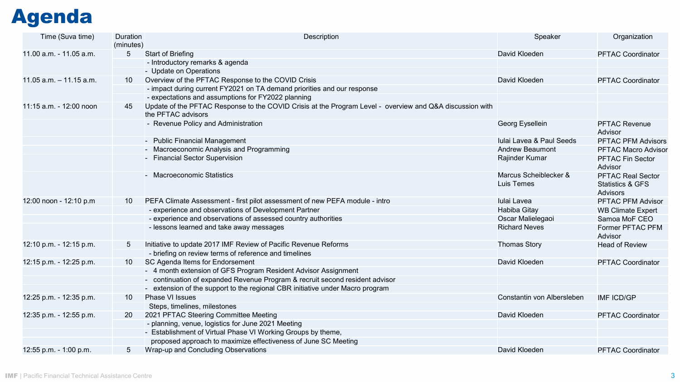## Agenda

| Time (Suva time)           | Duration<br>(minutes) | Description                                                                                                                    | Speaker                             | Organization                                                               |
|----------------------------|-----------------------|--------------------------------------------------------------------------------------------------------------------------------|-------------------------------------|----------------------------------------------------------------------------|
| 11.00 a.m. - 11.05 a.m.    | 5                     | <b>Start of Briefing</b>                                                                                                       | David Kloeden                       | <b>PFTAC Coordinator</b>                                                   |
|                            |                       | - Introductory remarks & agenda                                                                                                |                                     |                                                                            |
|                            |                       | - Update on Operations                                                                                                         |                                     |                                                                            |
| $11.05$ a.m. $-11.15$ a.m. | 10                    | Overview of the PFTAC Response to the COVID Crisis                                                                             | David Kloeden                       | <b>PFTAC Coordinator</b>                                                   |
|                            |                       | - impact during current FY2021 on TA demand priorities and our response                                                        |                                     |                                                                            |
|                            |                       | - expectations and assumptions for FY2022 planning                                                                             |                                     |                                                                            |
| 11:15 a.m. - 12:00 noon    | 45                    | Update of the PFTAC Response to the COVID Crisis at the Program Level - overview and Q&A discussion with<br>the PFTAC advisors |                                     |                                                                            |
|                            |                       | - Revenue Policy and Administration                                                                                            | Georg Eysellein                     | <b>PFTAC Revenue</b><br>Advisor                                            |
|                            |                       | - Public Financial Management                                                                                                  | Iulai Lavea & Paul Seeds            | <b>PFTAC PFM Advisors</b>                                                  |
|                            |                       | - Macroeconomic Analysis and Programming                                                                                       | <b>Andrew Beaumont</b>              | PFTAC Macro Advisor                                                        |
|                            |                       | - Financial Sector Supervision                                                                                                 | Rajinder Kumar                      | <b>PFTAC Fin Sector</b><br>Advisor                                         |
|                            |                       | - Macroeconomic Statistics                                                                                                     | Marcus Scheiblecker &<br>Luis Temes | <b>PFTAC Real Sector</b><br><b>Statistics &amp; GFS</b><br><b>Advisors</b> |
| 12:00 noon - 12:10 p.m     | 10                    | PEFA Climate Assessment - first pilot assessment of new PEFA module - intro                                                    | Iulai Lavea                         | PFTAC PFM Advisor                                                          |
|                            |                       | - experience and observations of Development Partner                                                                           | Habiba Gitay                        | <b>WB Climate Expert</b>                                                   |
|                            |                       | - experience and observations of assessed country authorities                                                                  | Oscar Malielegaoi                   | Samoa MoF CEO                                                              |
|                            |                       | - lessons learned and take away messages                                                                                       | <b>Richard Neves</b>                | Former PFTAC PFM<br>Advisor                                                |
| 12:10 p.m. - 12:15 p.m.    | 5                     | Initiative to update 2017 IMF Review of Pacific Revenue Reforms                                                                | <b>Thomas Story</b>                 | <b>Head of Review</b>                                                      |
|                            |                       | - briefing on review terms of reference and timelines                                                                          |                                     |                                                                            |
| 12:15 p.m. - 12:25 p.m.    | 10                    | SC Agenda Items for Endorsement                                                                                                | David Kloeden                       | <b>PFTAC Coordinator</b>                                                   |
|                            |                       | - 4 month extension of GFS Program Resident Advisor Assignment                                                                 |                                     |                                                                            |
|                            |                       | - continuation of expanded Revenue Program & recruit second resident advisor                                                   |                                     |                                                                            |
|                            |                       | - extension of the support to the regional CBR initiative under Macro program                                                  |                                     |                                                                            |
| 12:25 p.m. - 12:35 p.m.    | 10                    | <b>Phase VI Issues</b>                                                                                                         | Constantin von Albersleben          | <b>IMF ICD/GP</b>                                                          |
|                            |                       | Steps, timelines, milestones                                                                                                   |                                     |                                                                            |
| 12:35 p.m. - 12:55 p.m.    | 20                    | 2021 PFTAC Steering Committee Meeting                                                                                          | David Kloeden                       | <b>PFTAC Coordinator</b>                                                   |
|                            |                       | - planning, venue, logistics for June 2021 Meeting                                                                             |                                     |                                                                            |
|                            |                       | - Establishment of Virtual Phase VI Working Groups by theme,                                                                   |                                     |                                                                            |
|                            |                       | proposed approach to maximize effectiveness of June SC Meeting                                                                 |                                     |                                                                            |
| 12:55 p.m. - 1:00 p.m.     | 5                     | Wrap-up and Concluding Observations                                                                                            | David Kloeden                       | <b>PFTAC Coordinator</b>                                                   |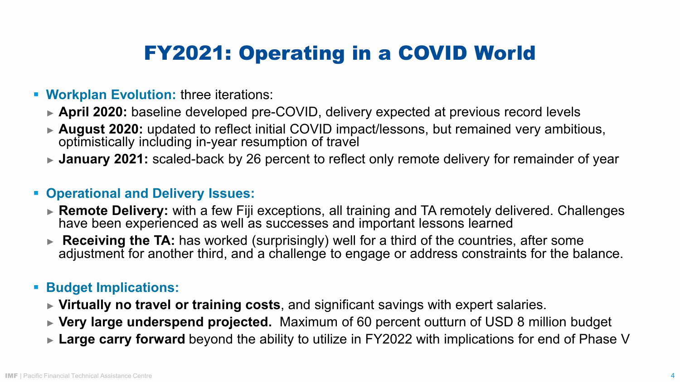## FY2021: Operating in a COVID World

- **Workplan Evolution:** three iterations:
	- ► **April 2020:** baseline developed pre-COVID, delivery expected at previous record levels
	- ► **August 2020:** updated to reflect initial COVID impact/lessons, but remained very ambitious, optimistically including in-year resumption of travel
	- ► **January 2021:** scaled-back by 26 percent to reflect only remote delivery for remainder of year

#### **Operational and Delivery Issues:**

- ► **Remote Delivery:** with a few Fiji exceptions, all training and TA remotely delivered. Challenges have been experienced as well as successes and important lessons learned
- ► **Receiving the TA:** has worked (surprisingly) well for a third of the countries, after some adjustment for another third, and a challenge to engage or address constraints for the balance.

#### **Budget Implications:**

- ► **Virtually no travel or training costs**, and significant savings with expert salaries.
- ► **Very large underspend projected.** Maximum of 60 percent outturn of USD 8 million budget
- ► Large carry forward beyond the ability to utilize in FY2022 with implications for end of Phase V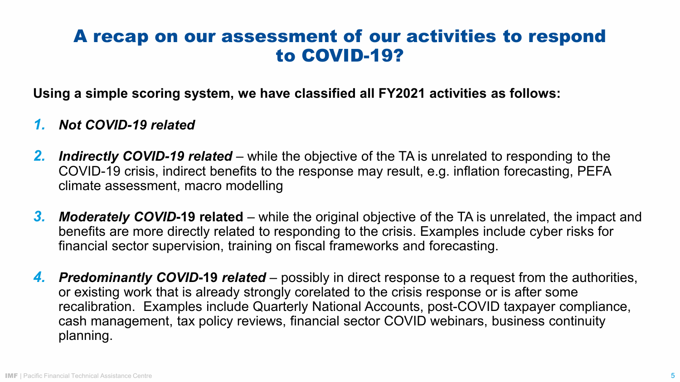#### A recap on our assessment of our activities to respond to COVID-19?

**Using a simple scoring system, we have classified all FY2021 activities as follows:**

#### *1. Not COVID-19 related*

- *2. Indirectly COVID-19 related* while the objective of the TA is unrelated to responding to the COVID-19 crisis, indirect benefits to the response may result, e.g. inflation forecasting, PEFA climate assessment, macro modelling
- *3. Moderately COVID***-19 related** *–* while the original objective of the TA is unrelated, the impact and benefits are more directly related to responding to the crisis. Examples include cyber risks for financial sector supervision, training on fiscal frameworks and forecasting.
- *4. Predominantly COVID***-19** *related*  possibly in direct response to a request from the authorities, or existing work that is already strongly corelated to the crisis response or is after some recalibration. Examples include Quarterly National Accounts, post-COVID taxpayer compliance, cash management, tax policy reviews, financial sector COVID webinars, business continuity planning.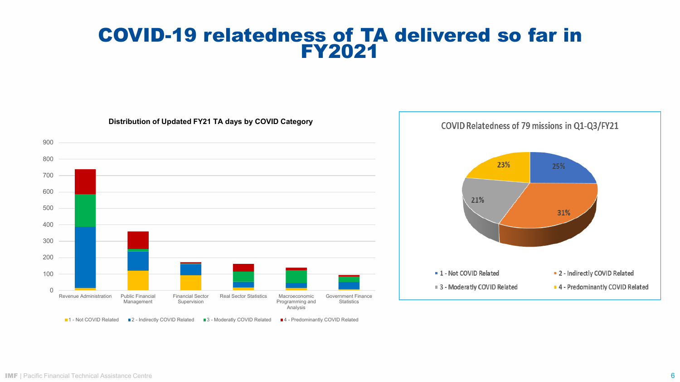#### COVID-19 relatedness of TA delivered so far in FY2021

0 100 200 300 400 500 600 700 800 900 Revenue Administration Public Financial Management Financial Sector Supervision Real Sector Statistics Macroeconomic Programming and **Analysis** Government Finance **Statistics 1** - Not COVID Related **2** - Indirectly COVID Related **3** - Moderatly COVID Related **4** - Predominantly COVID Related

**Distribution of Updated FY21 TA days by COVID Category** 

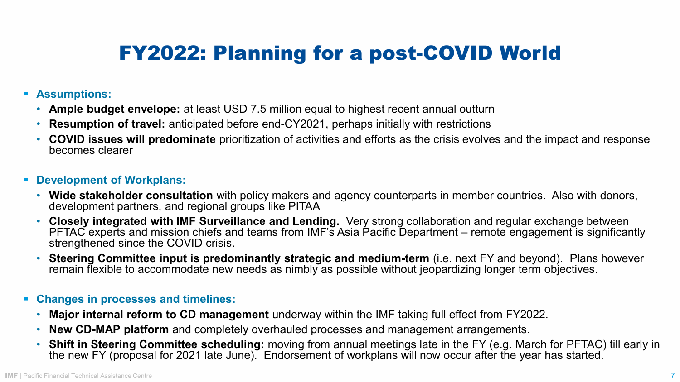## FY2022: Planning for a post-COVID World

- **Assumptions:**
	- **Ample budget envelope:** at least USD 7.5 million equal to highest recent annual outturn
	- **Resumption of travel:** anticipated before end-CY2021, perhaps initially with restrictions
	- **COVID issues will predominate** prioritization of activities and efforts as the crisis evolves and the impact and response becomes clearer
- **Development of Workplans:**
	- **Wide stakeholder consultation** with policy makers and agency counterparts in member countries. Also with donors, development partners, and regional groups like PITAA
	- **Closely integrated with IMF Surveillance and Lending.** Very strong collaboration and regular exchange between PFTAC experts and mission chiefs and teams from IMF's Asia Pacific Department – remote engagement is significantly strengthened since the COVID crisis.
	- **Steering Committee input is predominantly strategic and medium-term** (i.e. next FY and beyond). Plans however remain flexible to accommodate new needs as nimbly as possible without jeopardizing longer term objectives.
- **Changes in processes and timelines:**
	- **Major internal reform to CD management** underway within the IMF taking full effect from FY2022.
	- **New CD-MAP platform** and completely overhauled processes and management arrangements.
	- **Shift in Steering Committee scheduling:** moving from annual meetings late in the FY (e.g. March for PFTAC) till early in the new FY (proposal for 2021 late June). Endorsement of workplans will now occur after the year has started.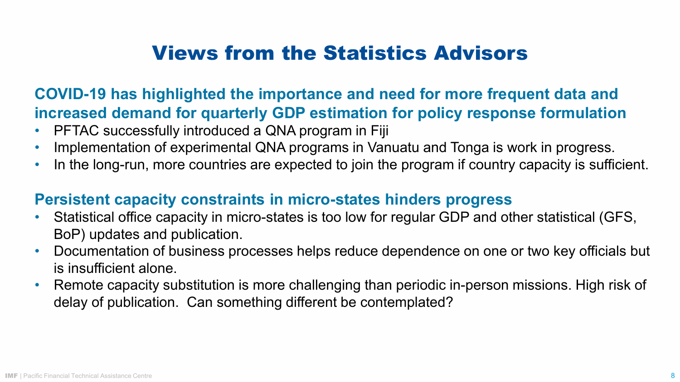## Views from the Statistics Advisors

#### **COVID-19 has highlighted the importance and need for more frequent data and increased demand for quarterly GDP estimation for policy response formulation**

- PFTAC successfully introduced a QNA program in Fiji
- Implementation of experimental QNA programs in Vanuatu and Tonga is work in progress.
- In the long-run, more countries are expected to join the program if country capacity is sufficient.

#### **Persistent capacity constraints in micro-states hinders progress**

- Statistical office capacity in micro-states is too low for regular GDP and other statistical (GFS, BoP) updates and publication.
- Documentation of business processes helps reduce dependence on one or two key officials but is insufficient alone.
- Remote capacity substitution is more challenging than periodic in-person missions. High risk of delay of publication. Can something different be contemplated?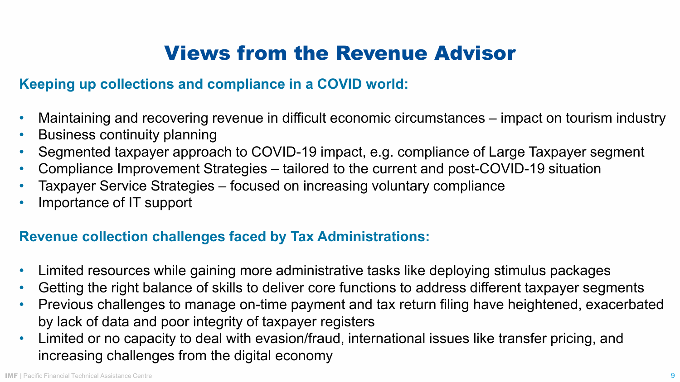## Views from the Revenue Advisor

#### **Keeping up collections and compliance in a COVID world:**

- Maintaining and recovering revenue in difficult economic circumstances impact on tourism industry
- Business continuity planning
- Segmented taxpayer approach to COVID-19 impact, e.g. compliance of Large Taxpayer segment
- Compliance Improvement Strategies tailored to the current and post-COVID-19 situation
- Taxpayer Service Strategies focused on increasing voluntary compliance
- Importance of IT support

#### **Revenue collection challenges faced by Tax Administrations:**

- Limited resources while gaining more administrative tasks like deploying stimulus packages
- Getting the right balance of skills to deliver core functions to address different taxpayer segments
- Previous challenges to manage on-time payment and tax return filing have heightened, exacerbated by lack of data and poor integrity of taxpayer registers
- Limited or no capacity to deal with evasion/fraud, international issues like transfer pricing, and increasing challenges from the digital economy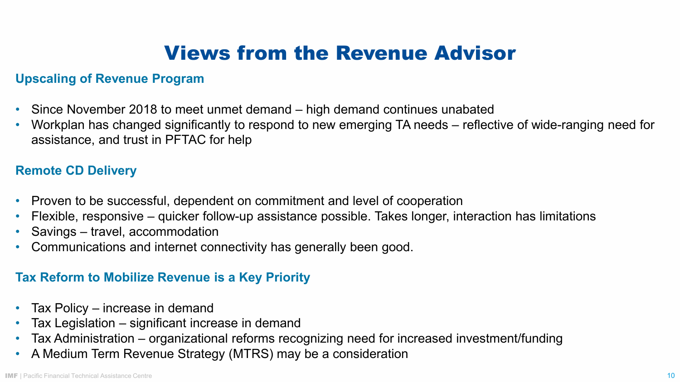## Views from the Revenue Advisor

#### **Upscaling of Revenue Program**

- Since November 2018 to meet unmet demand high demand continues unabated
- Workplan has changed significantly to respond to new emerging TA needs reflective of wide-ranging need for assistance, and trust in PFTAC for help

#### **Remote CD Delivery**

- Proven to be successful, dependent on commitment and level of cooperation
- Flexible, responsive quicker follow-up assistance possible. Takes longer, interaction has limitations
- Savings travel, accommodation
- Communications and internet connectivity has generally been good.

#### **Tax Reform to Mobilize Revenue is a Key Priority**

- Tax Policy increase in demand
- Tax Legislation significant increase in demand
- Tax Administration organizational reforms recognizing need for increased investment/funding
- A Medium Term Revenue Strategy (MTRS) may be a consideration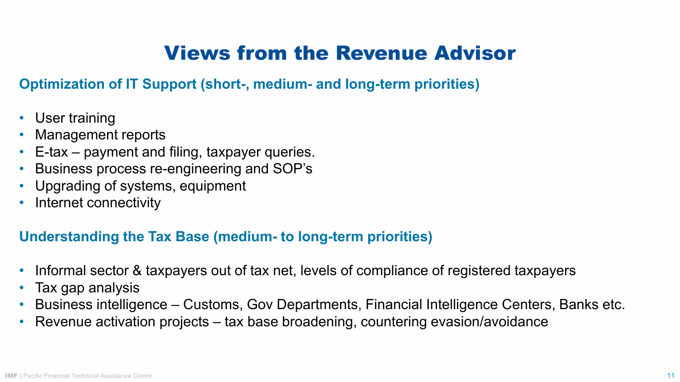## Views from the Revenue Advisor

#### **Optimization of IT Support (short-, medium- and long-term priorities)**

- User training
- Management reports
- E-tax payment and filing, taxpayer queries.
- Business process re-engineering and SOP's
- Upgrading of systems, equipment
- Internet connectivity

#### **Understanding the Tax Base (medium- to long-term priorities)**

- Informal sector & taxpayers out of tax net, levels of compliance of registered taxpayers
- Tax gap analysis
- Business intelligence Customs, Gov Departments, Financial Intelligence Centers, Banks etc.
- Revenue activation projects tax base broadening, countering evasion/avoidance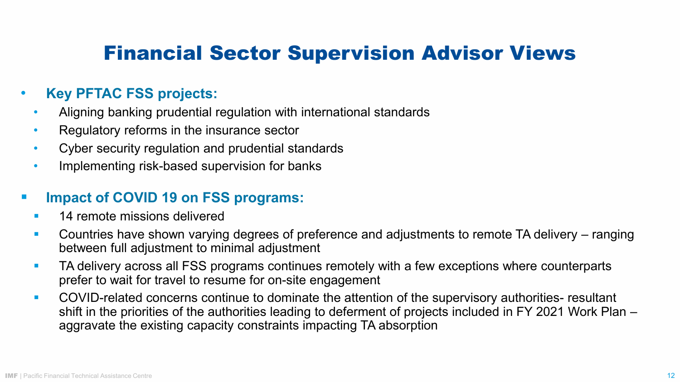## Financial Sector Supervision Advisor Views

#### • **Key PFTAC FSS projects:**

- Aligning banking prudential regulation with international standards
- Regulatory reforms in the insurance sector
- Cyber security regulation and prudential standards
- Implementing risk-based supervision for banks

#### **Impact of COVID 19 on FSS programs:**

- **14 remote missions delivered**
- **Countries have shown varying degrees of preference and adjustments to remote TA delivery** ranging between full adjustment to minimal adjustment
- **TA delivery across all FSS programs continues remotely with a few exceptions where counterparts** prefer to wait for travel to resume for on-site engagement
- **COVID-related concerns continue to dominate the attention of the supervisory authorities- resultant** shift in the priorities of the authorities leading to deferment of projects included in FY 2021 Work Plan – aggravate the existing capacity constraints impacting TA absorption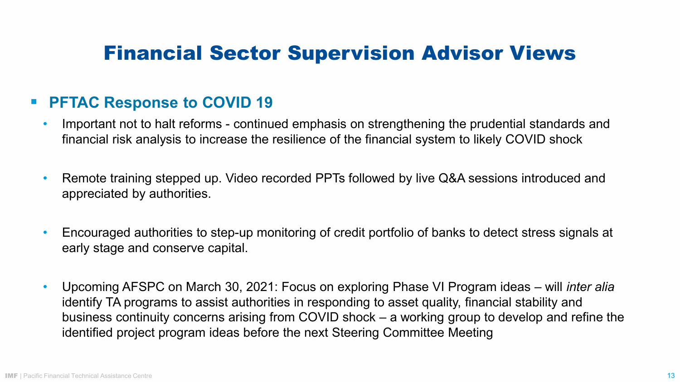### Financial Sector Supervision Advisor Views

#### **PFTAC Response to COVID 19**

- Important not to halt reforms continued emphasis on strengthening the prudential standards and financial risk analysis to increase the resilience of the financial system to likely COVID shock
- Remote training stepped up. Video recorded PPTs followed by live Q&A sessions introduced and appreciated by authorities.
- Encouraged authorities to step-up monitoring of credit portfolio of banks to detect stress signals at early stage and conserve capital.
- Upcoming AFSPC on March 30, 2021: Focus on exploring Phase VI Program ideas will *inter alia*  identify TA programs to assist authorities in responding to asset quality, financial stability and business continuity concerns arising from COVID shock – a working group to develop and refine the identified project program ideas before the next Steering Committee Meeting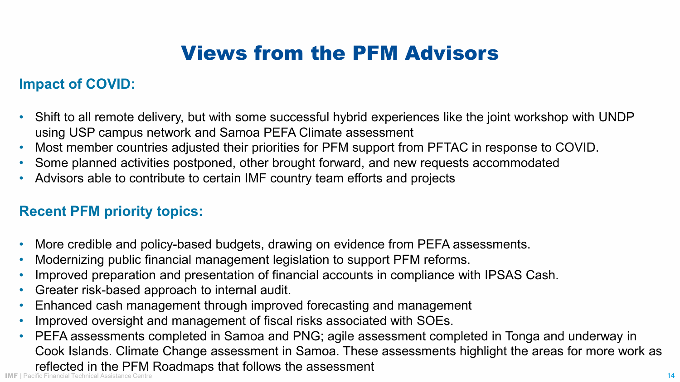## Views from the PFM Advisors

#### **Impact of COVID:**

- Shift to all remote delivery, but with some successful hybrid experiences like the joint workshop with UNDP using USP campus network and Samoa PEFA Climate assessment
- Most member countries adjusted their priorities for PFM support from PFTAC in response to COVID.
- Some planned activities postponed, other brought forward, and new requests accommodated
- Advisors able to contribute to certain IMF country team efforts and projects

#### **Recent PFM priority topics:**

- More credible and policy-based budgets, drawing on evidence from PEFA assessments.
- Modernizing public financial management legislation to support PFM reforms.
- Improved preparation and presentation of financial accounts in compliance with IPSAS Cash.
- Greater risk-based approach to internal audit.
- Enhanced cash management through improved forecasting and management
- Improved oversight and management of fiscal risks associated with SOEs.
- IMF | Pacific Financial Technical Assistance Centre 14 November 15, 1998 16, 1999 16, 1999 17: 14 November 16, 1999 17: 14 • PEFA assessments completed in Samoa and PNG; agile assessment completed in Tonga and underway in Cook Islands. Climate Change assessment in Samoa. These assessments highlight the areas for more work as reflected in the PFM Roadmaps that follows the assessment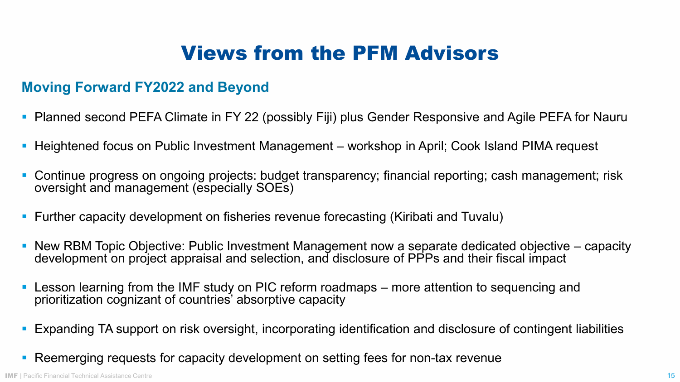## Views from the PFM Advisors

#### **Moving Forward FY2022 and Beyond**

- Planned second PEFA Climate in FY 22 (possibly Fiji) plus Gender Responsive and Agile PEFA for Nauru
- Heightened focus on Public Investment Management workshop in April; Cook Island PIMA request
- Continue progress on ongoing projects: budget transparency; financial reporting; cash management; risk oversight and management (especially SOEs)
- Further capacity development on fisheries revenue forecasting (Kiribati and Tuvalu)
- New RBM Topic Objective: Public Investment Management now a separate dedicated objective capacity development on project appraisal and selection, and disclosure of PPPs and their fiscal impact
- **Lesson learning from the IMF study on PIC reform roadmaps** more attention to sequencing and prioritization cognizant of countries' absorptive capacity
- Expanding TA support on risk oversight, incorporating identification and disclosure of contingent liabilities
- Reemerging requests for capacity development on setting fees for non-tax revenue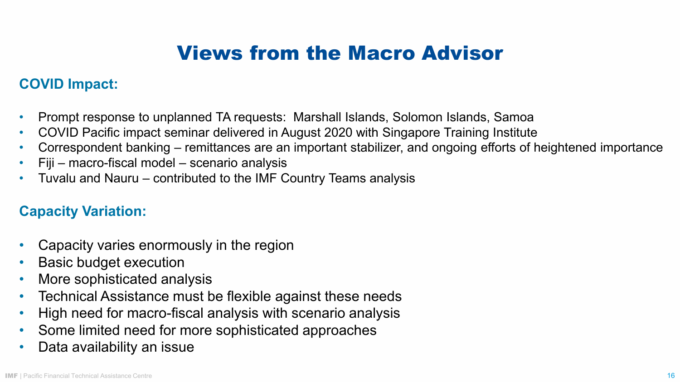## Views from the Macro Advisor

#### **COVID Impact:**

- Prompt response to unplanned TA requests: Marshall Islands, Solomon Islands, Samoa
- COVID Pacific impact seminar delivered in August 2020 with Singapore Training Institute
- Correspondent banking remittances are an important stabilizer, and ongoing efforts of heightened importance
- Fiji macro-fiscal model scenario analysis
- Tuvalu and Nauru contributed to the IMF Country Teams analysis

#### **Capacity Variation:**

- Capacity varies enormously in the region
- **Basic budget execution**
- More sophisticated analysis
- Technical Assistance must be flexible against these needs
- High need for macro-fiscal analysis with scenario analysis
- Some limited need for more sophisticated approaches
- Data availability an issue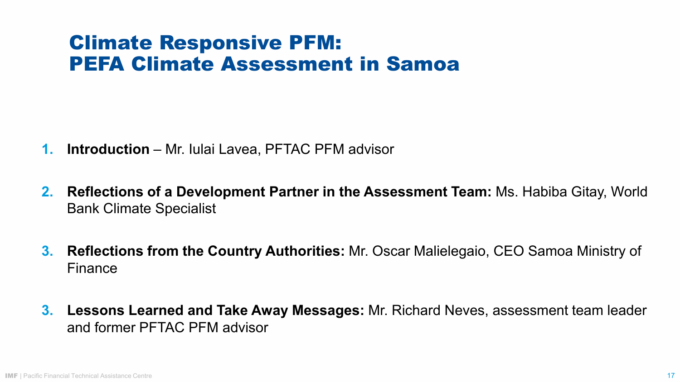## Climate Responsive PFM: PEFA Climate Assessment in Samoa

- **1. Introduction** Mr. Iulai Lavea, PFTAC PFM advisor
- **2. Reflections of a Development Partner in the Assessment Team:** Ms. Habiba Gitay, World Bank Climate Specialist
- **3. Reflections from the Country Authorities:** Mr. Oscar Malielegaio, CEO Samoa Ministry of Finance
- **3. Lessons Learned and Take Away Messages:** Mr. Richard Neves, assessment team leader and former PFTAC PFM advisor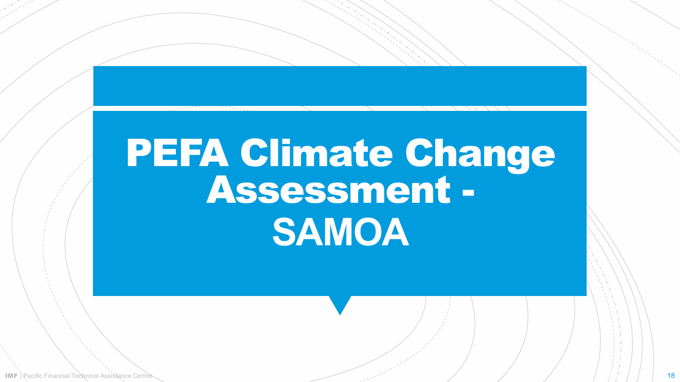# PEFA Climate Change Assessment - **SAMOA**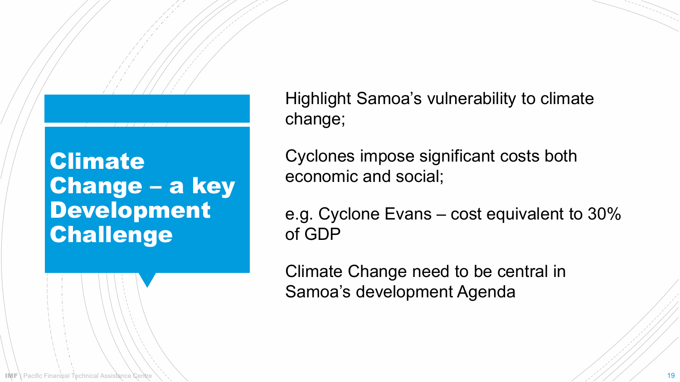## **Climate** Change – a key Development **Challenge**

Highlight Samoa's vulnerability to climate change;

Cyclones impose significant costs both economic and social;

e.g. Cyclone Evans – cost equivalent to 30% of GDP

Climate Change need to be central in Samoa's development Agenda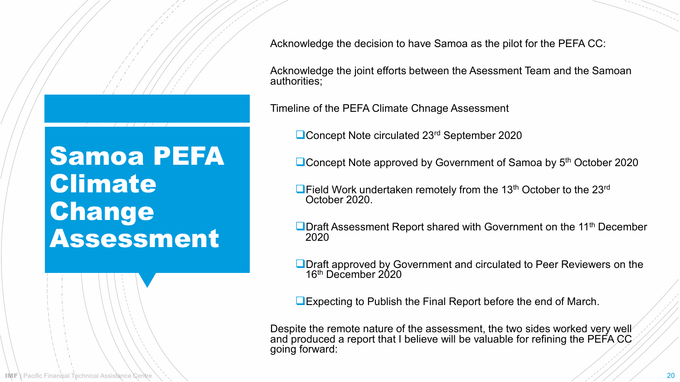Samoa PEFA **Climate** Change Assessment

Acknowledge the decision to have Samoa as the pilot for the PEFA CC:

Acknowledge the joint efforts between the Asessment Team and the Samoan authorities;

Timeline of the PEFA Climate Chnage Assessment

■Concept Note circulated 23<sup>rd</sup> September 2020

■Concept Note approved by Government of Samoa by 5<sup>th</sup> October 2020

- $\Box$  Field Work undertaken remotely from the 13<sup>th</sup> October to the 23<sup>rd</sup> October 2020.
- **ODraft Assessment Report shared with Government on the 11<sup>th</sup> December** 2020
- **ODraft approved by Government and circulated to Peer Reviewers on the** 16th December 2020

Expecting to Publish the Final Report before the end of March.

Despite the remote nature of the assessment, the two sides worked very well and produced a report that I believe will be valuable for refining the PEFA CC $\cdot$ going forward: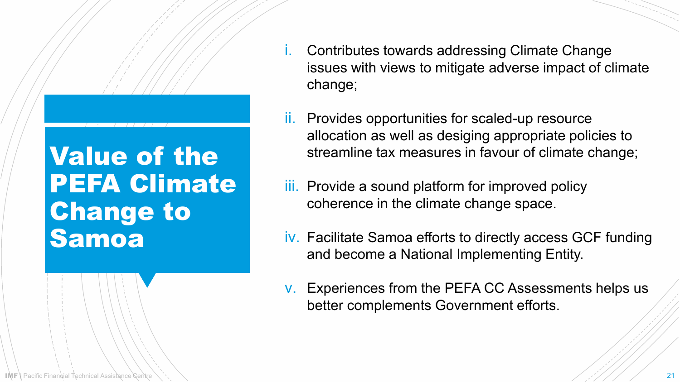## Value of the PEFA Climate Change to Samoa

- i. Contributes towards addressing Climate Change issues with views to mitigate adverse impact of climate change;
- ii. Provides opportunities for scaled-up resource allocation as well as desiging appropriate policies to streamline tax measures in favour of climate change;
- iii. Provide a sound platform for improved policy coherence in the climate change space.
- iv. Facilitate Samoa efforts to directly access GCF funding and become a National Implementing Entity.
- v. Experiences from the PEFA CC Assessments helps us better complements Government efforts.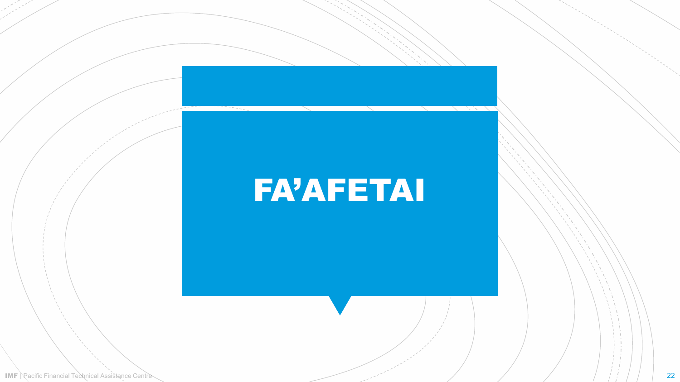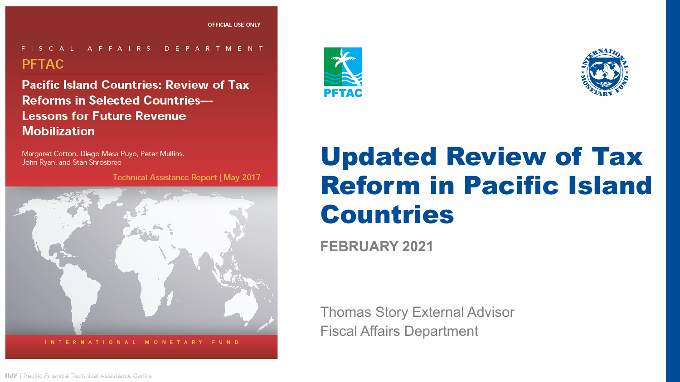#### FISCAL AFFAIRS DEPARTMENT **PFTAC**

**Pacific Island Countries: Review of Tax Reforms in Selected Countries-Lessons for Future Revenue Mobilization** 

Margaret Cotton, Diego Mesa Puyo, Peter Mullins, John Ryan, and Stan Shrosbree

Technical Assistance Report | May 2017







## Updated Review of Tax Reform in Pacific Island Countries

**FEBRUARY 2021**

Thomas Story External Advisor Fiscal Affairs Department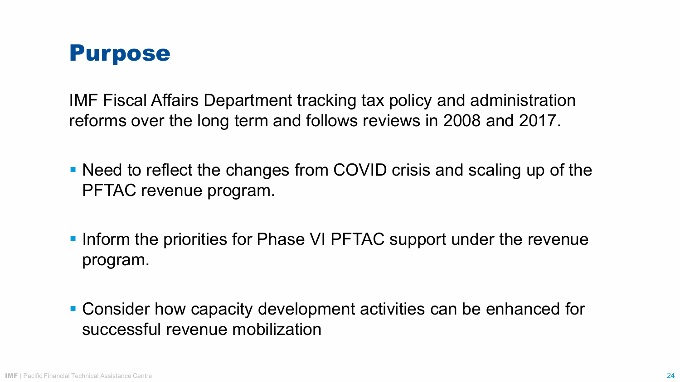

IMF Fiscal Affairs Department tracking tax policy and administration reforms over the long term and follows reviews in 2008 and 2017.

- Need to reflect the changes from COVID crisis and scaling up of the PFTAC revenue program.
- **Inform the priorities for Phase VI PFTAC support under the revenue** program.
- Consider how capacity development activities can be enhanced for successful revenue mobilization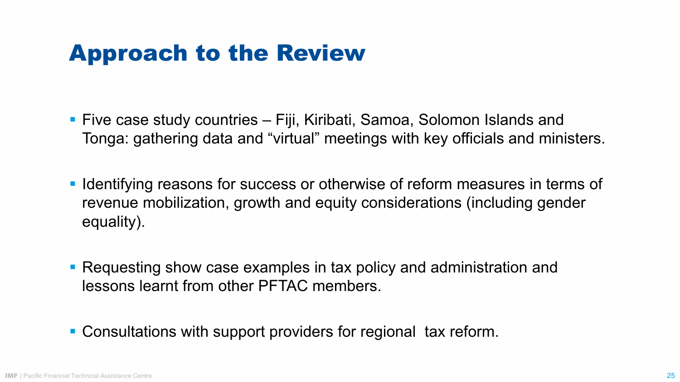## Approach to the Review

- Five case study countries Fiji, Kiribati, Samoa, Solomon Islands and Tonga: gathering data and "virtual" meetings with key officials and ministers.
- **IDED 10.000 IDED 10.000 IDED 10.000 IDED** 10.000 IDED 10.000 IDED 10.000 IDED 10.000 IDED 10.000 IDED 10.000 IDED 10.000 IDED 10.000 IDED 10.000 IDED 10.000 IDED 10.000 IDED 10.000 IDED 10.000 IDED 10.000 IDED 10.000 IDED revenue mobilization, growth and equity considerations (including gender equality).
- Requesting show case examples in tax policy and administration and lessons learnt from other PFTAC members.
- Consultations with support providers for regional tax reform.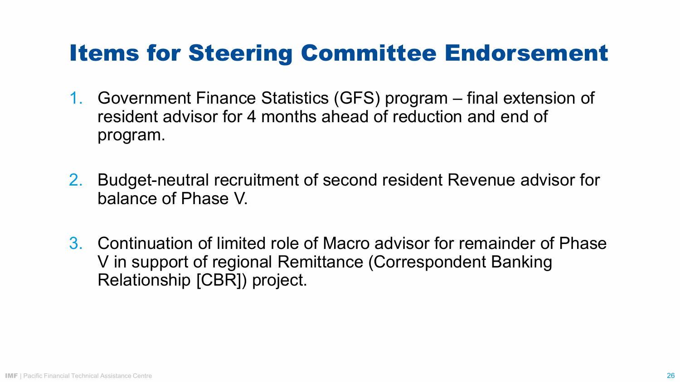## Items for Steering Committee Endorsement

- 1. Government Finance Statistics (GFS) program final extension of resident advisor for 4 months ahead of reduction and end of program.
- 2. Budget-neutral recruitment of second resident Revenue advisor for balance of Phase V.
- 3. Continuation of limited role of Macro advisor for remainder of Phase V in support of regional Remittance (Correspondent Banking Relationship [CBR]) project.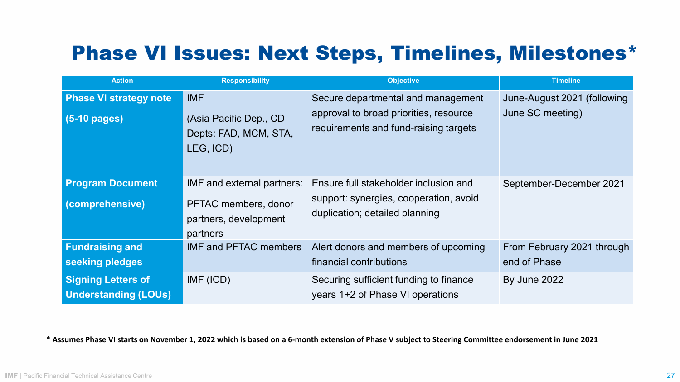## Phase VI Issues: Next Steps, Timelines, Milestones\*

| <b>Action</b>                                            | <b>Responsibility</b>                                                                   | <b>Objective</b>                                                                                                      | <b>Timeline</b>                                 |
|----------------------------------------------------------|-----------------------------------------------------------------------------------------|-----------------------------------------------------------------------------------------------------------------------|-------------------------------------------------|
| <b>Phase VI strategy note</b><br>$(5-10 \text{ pages})$  | <b>IMF</b><br>(Asia Pacific Dep., CD)<br>Depts: FAD, MCM, STA,<br>LEG, ICD)             | Secure departmental and management<br>approval to broad priorities, resource<br>requirements and fund-raising targets | June-August 2021 (following<br>June SC meeting) |
| <b>Program Document</b><br>(comprehensive)               | IMF and external partners:<br>PFTAC members, donor<br>partners, development<br>partners | Ensure full stakeholder inclusion and<br>support: synergies, cooperation, avoid<br>duplication; detailed planning     | September-December 2021                         |
| <b>Fundraising and</b><br>seeking pledges                | <b>IMF and PFTAC members</b>                                                            | Alert donors and members of upcoming<br>financial contributions                                                       | From February 2021 through<br>end of Phase      |
| <b>Signing Letters of</b><br><b>Understanding (LOUs)</b> | IMF (ICD)                                                                               | Securing sufficient funding to finance<br>years 1+2 of Phase VI operations                                            | By June 2022                                    |

\* Assumes Phase VI starts on November 1, 2022 which is based on a 6-month extension of Phase V subject to Steering Committee endorsement in June 2021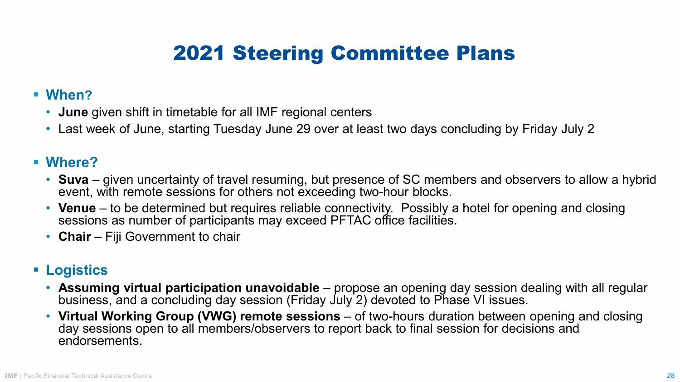## 2021 Steering Committee Plans

#### **When?**

- **June** given shift in timetable for all IMF regional centers
- Last week of June, starting Tuesday June 29 over at least two days concluding by Friday July 2

#### **Where?**

- **Suva** given uncertainty of travel resuming, but presence of SC members and observers to allow a hybrid event, with remote sessions for others not exceeding two-hour blocks.
- **Venue** to be determined but requires reliable connectivity. Possibly a hotel for opening and closing sessions as number of participants may exceed PFTAC office facilities.
- **Chair** Fiji Government to chair

#### **Logistics**

- **Assuming virtual participation unavoidable**  propose an opening day session dealing with all regular business, and a concluding day session (Friday July 2) devoted to Phase VI issues.
- **Virtual Working Group (VWG) remote sessions**  of two-hours duration between opening and closing day sessions open to all members/observers to report back to final session for decisions and endorsements.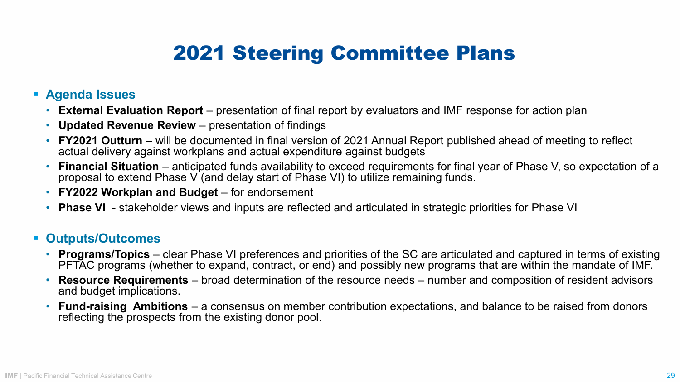## 2021 Steering Committee Plans

#### **Agenda Issues**

- **External Evaluation Report** presentation of final report by evaluators and IMF response for action plan
- **Updated Revenue Review**  presentation of findings
- **FY2021 Outturn** will be documented in final version of 2021 Annual Report published ahead of meeting to reflect actual delivery against workplans and actual expenditure against budgets
- **Financial Situation**  anticipated funds availability to exceed requirements for final year of Phase V, so expectation of a proposal to extend Phase V (and delay start of Phase VI) to utilize remaining funds.
- **FY2022 Workplan and Budget** for endorsement
- **Phase VI**  stakeholder views and inputs are reflected and articulated in strategic priorities for Phase VI

#### **Outputs/Outcomes**

- **Programs/Topics** clear Phase VI preferences and priorities of the SC are articulated and captured in terms of existing PFTAC programs (whether to expand, contract, or end) and possibly new programs that are within the mandate of IMF.
- **Resource Requirements**  broad determination of the resource needs number and composition of resident advisors and budget implications.
- **Fund-raising Ambitions**  a consensus on member contribution expectations, and balance to be raised from donors reflecting the prospects from the existing donor pool.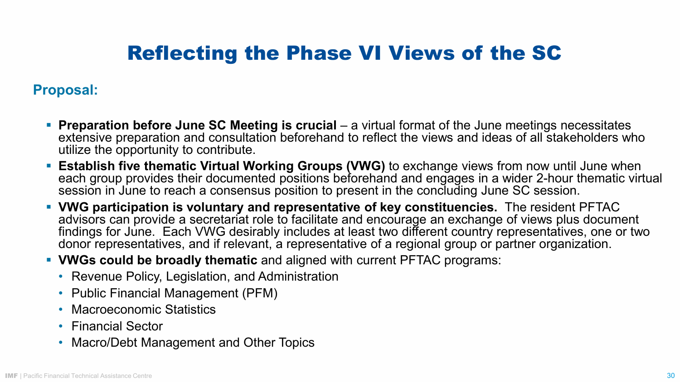## Reflecting the Phase VI Views of the SC

#### **Proposal:**

- **Preparation before June SC Meeting is crucial** a virtual format of the June meetings necessitates extensive preparation and consultation beforehand to reflect the views and ideas of all stakeholders who utilize the opportunity to contribute.
- **Establish five thematic Virtual Working Groups (VWG)** to exchange views from now until June when each group provides their documented positions beforehand and engages in a wider 2-hour thematic virtual session in June to reach a consensus position to present in the concluding June SC session.
- **VWG participation is voluntary and representative of key constituencies.** The resident PFTAC advisors can provide a secretariat role to facilitate and encourage an exchange of views plus document findings for June. Each VWG desirably includes at least two different country representatives, one or two donor representatives, and if relevant, a representative of a regional group or partner organization.
- **VWGs could be broadly thematic** and aligned with current PFTAC programs:
	- Revenue Policy, Legislation, and Administration
	- Public Financial Management (PFM)
	- Macroeconomic Statistics
	- Financial Sector
	- Macro/Debt Management and Other Topics